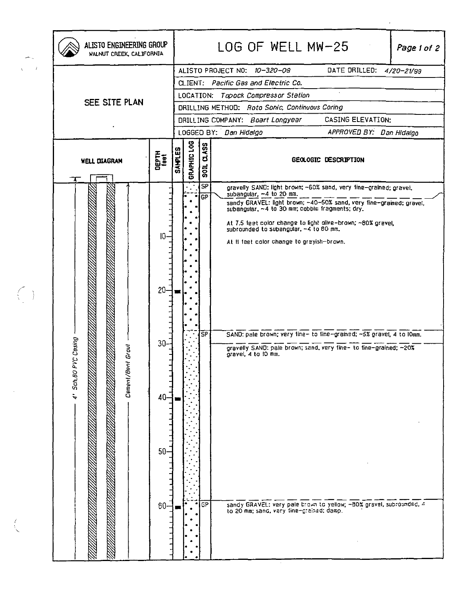|                          | ALISTO ENGINEERING GROUP<br>WALNUT CREEK, CALIFORNIA |                                                                                                                                                                                                                                                                                                                          | LOG OF WELL MW-25<br>Page 1 of 2 |                                                  |                                                                                                                                                                                                                                                                                                                                                                                                                                                                                                                                                                                                                                                                      |
|--------------------------|------------------------------------------------------|--------------------------------------------------------------------------------------------------------------------------------------------------------------------------------------------------------------------------------------------------------------------------------------------------------------------------|----------------------------------|--------------------------------------------------|----------------------------------------------------------------------------------------------------------------------------------------------------------------------------------------------------------------------------------------------------------------------------------------------------------------------------------------------------------------------------------------------------------------------------------------------------------------------------------------------------------------------------------------------------------------------------------------------------------------------------------------------------------------------|
| $\sim$ 1<br>$\mathbf{V}$ | SEE SITE PLAN                                        | DATE DRILLED: 4/20-21/99<br>ALISTO PROJECT NO: 10-320-09<br>CLIENT: Pacific Gas and Electric Co.<br>$\mathbf{v}$<br>LOCATION: Topock Compressor Station<br>DRILLING METHOD: Roto Sonic, Continuous Coring<br>CASING ELEVATION:<br>DRILLING COMPANY: Boart Longyear<br>LOGGED BY: Dan Hidalgo<br>APPROVED BY: Dan Hidalgo |                                  |                                                  |                                                                                                                                                                                                                                                                                                                                                                                                                                                                                                                                                                                                                                                                      |
|                          | <b>WELL DIAGRAM</b>                                  | DEPTH<br>feet                                                                                                                                                                                                                                                                                                            | GRAPHIC LOG<br><b>SANPLES</b>    | <b>SOIL CLASS</b>                                | <b>GEOLOGIC DESCRIPTION</b>                                                                                                                                                                                                                                                                                                                                                                                                                                                                                                                                                                                                                                          |
|                          | Casing<br>ã<br>Cement/Bent Gr<br>4' Sch. BO PVC I    | 0<br>$20 -$<br>$30 -$<br>$40 -$<br>$50-$<br>$60 -$                                                                                                                                                                                                                                                                       |                                  | <b>SP</b><br><b>GP</b><br><b>SP</b><br><b>GP</b> | gravelly SAND: light brown; ~60% sand, very fine-grained; gravel,<br>subangular, ~4 to 20 mm.<br>sandy GRAVEL: light brown; -40-50% sand, very fine-grained; gravel,<br>subangular, ~4 to 30 mm; cobble fragments; dry.<br>At 7.5 feet color change to light alive-brown; ~80% gravel,<br>subrounded to subangular, ~4 to 80 mm.<br>At it feet color change to grayish-brown.<br>SAND: pale brown; very fine- to fine-grained; ~5% grave!, 4 to lomm.<br>gravelly SAND: pale brown; send, very fine- to fine-grained; ~20%<br>gravel, 4 to 10 mm.<br>sandy GRAVEL: very pale brown to yellow; -30% gravel, subrounded, 4<br>to 20 mm; sand, very tine-grained; damp. |